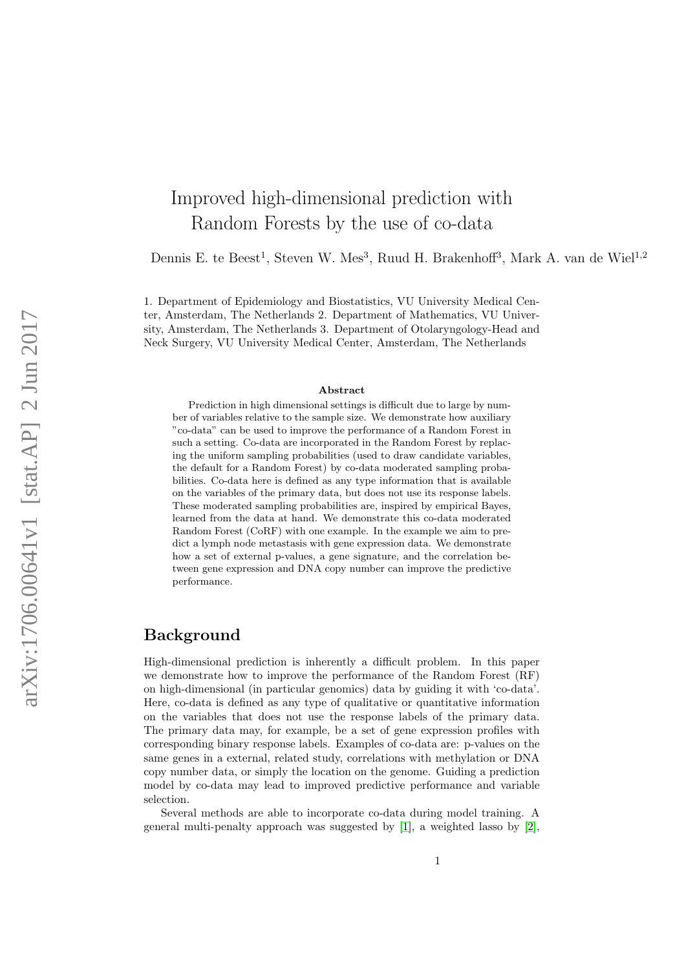# Improved high-dimensional prediction with Random Forests by the use of co-data

Dennis E. te Beest<sup>1</sup>, Steven W. Mes<sup>3</sup>, Ruud H. Brakenhoff<sup>3</sup>, Mark A. van de Wiel<sup>1,2</sup>

1. Department of Epidemiology and Biostatistics, VU University Medical Center, Amsterdam, The Netherlands 2. Department of Mathematics, VU University, Amsterdam, The Netherlands 3. Department of Otolaryngology-Head and Neck Surgery, VU University Medical Center, Amsterdam, The Netherlands

#### Abstract

Prediction in high dimensional settings is difficult due to large by number of variables relative to the sample size. We demonstrate how auxiliary "co-data" can be used to improve the performance of a Random Forest in such a setting. Co-data are incorporated in the Random Forest by replacing the uniform sampling probabilities (used to draw candidate variables, the default for a Random Forest) by co-data moderated sampling probabilities. Co-data here is defined as any type information that is available on the variables of the primary data, but does not use its response labels. These moderated sampling probabilities are, inspired by empirical Bayes, learned from the data at hand. We demonstrate this co-data moderated Random Forest (CoRF) with one example. In the example we aim to predict a lymph node metastasis with gene expression data. We demonstrate how a set of external p-values, a gene signature, and the correlation between gene expression and DNA copy number can improve the predictive performance.

### Background

High-dimensional prediction is inherently a difficult problem. In this paper we demonstrate how to improve the performance of the Random Forest (RF) on high-dimensional (in particular genomics) data by guiding it with 'co-data'. Here, co-data is defined as any type of qualitative or quantitative information on the variables that does not use the response labels of the primary data. The primary data may, for example, be a set of gene expression profiles with corresponding binary response labels. Examples of co-data are: p-values on the same genes in a external, related study, correlations with methylation or DNA copy number data, or simply the location on the genome. Guiding a prediction model by co-data may lead to improved predictive performance and variable selection.

Several methods are able to incorporate co-data during model training. A general multi-penalty approach was suggested by [\[1\]](#page-10-0), a weighted lasso by [\[2\]](#page-10-1),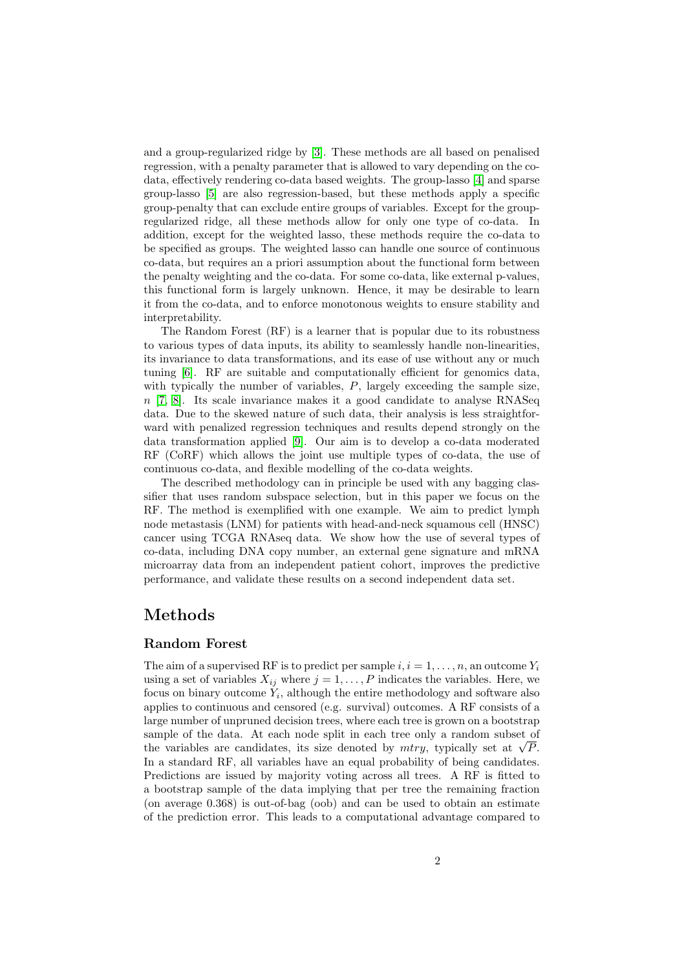and a group-regularized ridge by [\[3\]](#page-10-2). These methods are all based on penalised regression, with a penalty parameter that is allowed to vary depending on the codata, effectively rendering co-data based weights. The group-lasso [\[4\]](#page-10-3) and sparse group-lasso [\[5\]](#page-10-4) are also regression-based, but these methods apply a specific group-penalty that can exclude entire groups of variables. Except for the groupregularized ridge, all these methods allow for only one type of co-data. In addition, except for the weighted lasso, these methods require the co-data to be specified as groups. The weighted lasso can handle one source of continuous co-data, but requires an a priori assumption about the functional form between the penalty weighting and the co-data. For some co-data, like external p-values, this functional form is largely unknown. Hence, it may be desirable to learn it from the co-data, and to enforce monotonous weights to ensure stability and interpretability.

The Random Forest (RF) is a learner that is popular due to its robustness to various types of data inputs, its ability to seamlessly handle non-linearities, its invariance to data transformations, and its ease of use without any or much tuning [\[6\]](#page-10-5). RF are suitable and computationally efficient for genomics data, with typically the number of variables,  $P$ , largely exceeding the sample size,  $n$  [\[7,](#page-10-6) [8\]](#page-10-7). Its scale invariance makes it a good candidate to analyse RNASeq data. Due to the skewed nature of such data, their analysis is less straightforward with penalized regression techniques and results depend strongly on the data transformation applied [\[9\]](#page-10-8). Our aim is to develop a co-data moderated RF (CoRF) which allows the joint use multiple types of co-data, the use of continuous co-data, and flexible modelling of the co-data weights.

The described methodology can in principle be used with any bagging classifier that uses random subspace selection, but in this paper we focus on the RF. The method is exemplified with one example. We aim to predict lymph node metastasis (LNM) for patients with head-and-neck squamous cell (HNSC) cancer using TCGA RNAseq data. We show how the use of several types of co-data, including DNA copy number, an external gene signature and mRNA microarray data from an independent patient cohort, improves the predictive performance, and validate these results on a second independent data set.

### Methods

#### Random Forest

The aim of a supervised RF is to predict per sample  $i, i = 1, \ldots, n$ , an outcome  $Y_i$ using a set of variables  $X_{ij}$  where  $j = 1, \ldots, P$  indicates the variables. Here, we focus on binary outcome  $Y_i$ , although the entire methodology and software also applies to continuous and censored (e.g. survival) outcomes. A RF consists of a large number of unpruned decision trees, where each tree is grown on a bootstrap sample of the data. At each node split in each tree only a random subset of sample of the data. At each node split in each tree only a random subset of the variables are candidates, its size denoted by  $mtry$ , typically set at  $\sqrt{P}$ . In a standard RF, all variables have an equal probability of being candidates. Predictions are issued by majority voting across all trees. A RF is fitted to a bootstrap sample of the data implying that per tree the remaining fraction (on average 0.368) is out-of-bag (oob) and can be used to obtain an estimate of the prediction error. This leads to a computational advantage compared to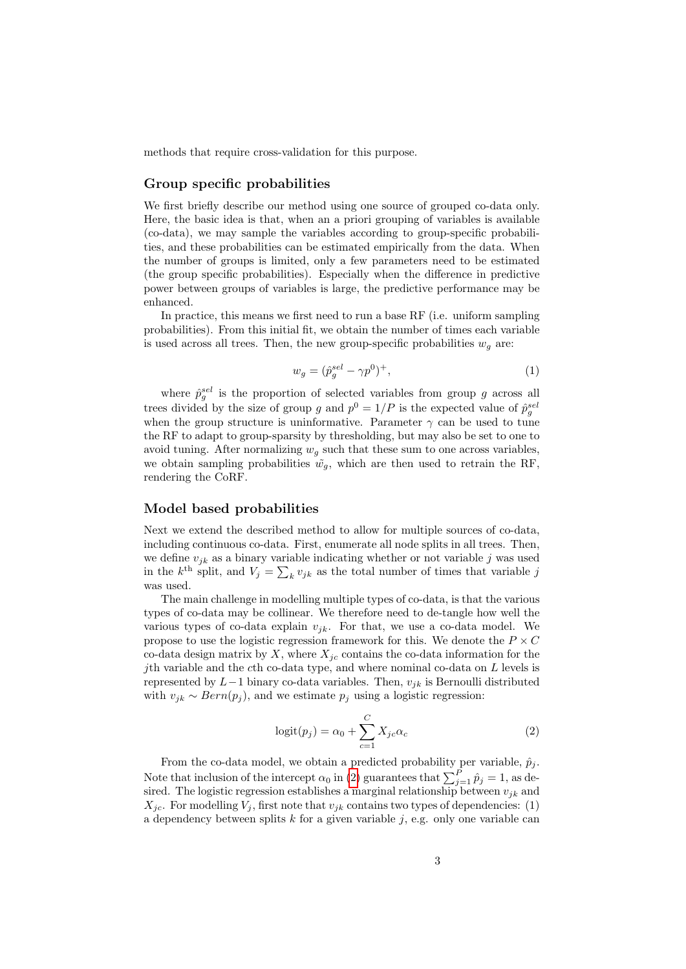methods that require cross-validation for this purpose.

#### Group specific probabilities

We first briefly describe our method using one source of grouped co-data only. Here, the basic idea is that, when an a priori grouping of variables is available (co-data), we may sample the variables according to group-specific probabilities, and these probabilities can be estimated empirically from the data. When the number of groups is limited, only a few parameters need to be estimated (the group specific probabilities). Especially when the difference in predictive power between groups of variables is large, the predictive performance may be enhanced.

In practice, this means we first need to run a base RF (i.e. uniform sampling probabilities). From this initial fit, we obtain the number of times each variable is used across all trees. Then, the new group-specific probabilities  $w<sub>q</sub>$  are:

$$
w_g = (\hat{p}_g^{sel} - \gamma p^0)^+, \tag{1}
$$

where  $\hat{p}_{g}^{sel}$  is the proportion of selected variables from group g across all trees divided by the size of group g and  $p^0 = 1/P$  is the expected value of  $\hat{p}_g^{sel}$ when the group structure is uninformative. Parameter  $\gamma$  can be used to tune the RF to adapt to group-sparsity by thresholding, but may also be set to one to avoid tuning. After normalizing  $w<sub>a</sub>$  such that these sum to one across variables, we obtain sampling probabilities  $\tilde{w}_q$ , which are then used to retrain the RF, rendering the CoRF.

#### Model based probabilities

Next we extend the described method to allow for multiple sources of co-data, including continuous co-data. First, enumerate all node splits in all trees. Then, we define  $v_{jk}$  as a binary variable indicating whether or not variable j was used in the  $k^{\text{th}}$  split, and  $V_j = \sum_k v_{jk}$  as the total number of times that variable j was used.

The main challenge in modelling multiple types of co-data, is that the various types of co-data may be collinear. We therefore need to de-tangle how well the various types of co-data explain  $v_{jk}$ . For that, we use a co-data model. We propose to use the logistic regression framework for this. We denote the  $P \times C$ co-data design matrix by X, where  $X_{ic}$  contains the co-data information for the jth variable and the cth co-data type, and where nominal co-data on  $L$  levels is represented by  $L-1$  binary co-data variables. Then,  $v_{jk}$  is Bernoulli distributed with  $v_{jk} \sim Bern(p_j)$ , and we estimate  $p_j$  using a logistic regression:

<span id="page-2-0"></span>
$$
logit(p_j) = \alpha_0 + \sum_{c=1}^{C} X_{jc} \alpha_c \tag{2}
$$

From the co-data model, we obtain a predicted probability per variable,  $\hat{p}_i$ . Note that inclusion of the intercept  $\alpha_0$  in [\(2\)](#page-2-0) guarantees that  $\sum_{j=1}^P \hat{p}_j = 1$ , as desired. The logistic regression establishes a marginal relationship between  $v_{jk}$  and  $X_{ic}$ . For modelling  $V_i$ , first note that  $v_{ik}$  contains two types of dependencies: (1) a dependency between splits  $k$  for a given variable  $j$ , e.g. only one variable can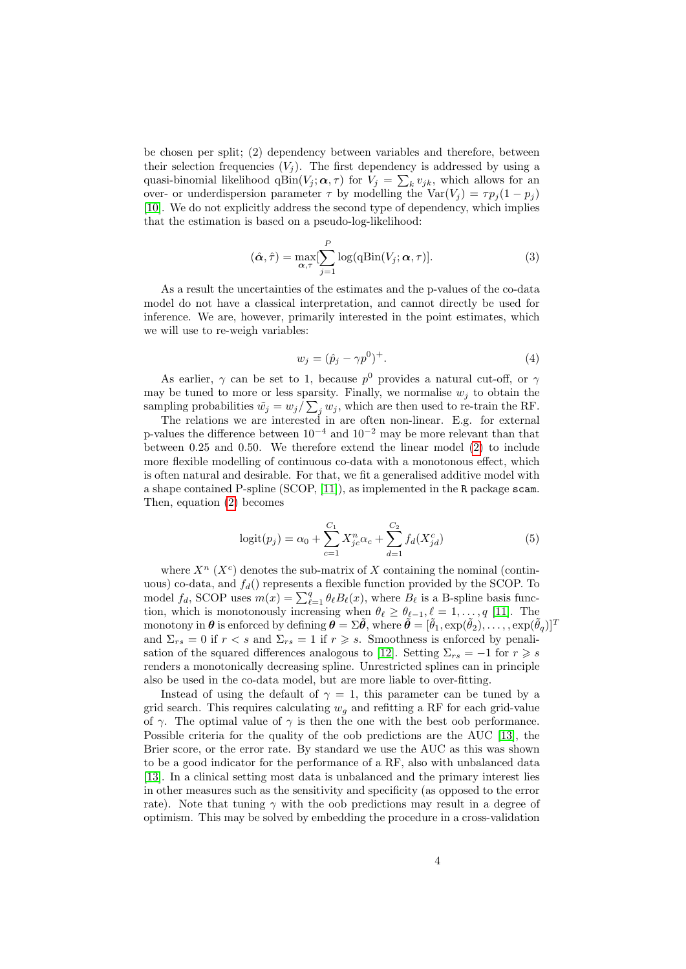be chosen per split; (2) dependency between variables and therefore, between their selection frequencies  $(V_i)$ . The first dependency is addressed by using a quasi-binomial likelihood  $qBin(V_j; \alpha, \tau)$  for  $V_j = \sum_k v_{jk}$ , which allows for an over- or underdispersion parameter  $\tau$  by modelling the Var $(V_j) = \tau p_j (1 - p_j)$ [\[10\]](#page-10-9). We do not explicitly address the second type of dependency, which implies that the estimation is based on a pseudo-log-likelihood:

$$
(\hat{\boldsymbol{\alpha}}, \hat{\tau}) = \max_{\boldsymbol{\alpha}, \tau} [\sum_{j=1}^{P} \log(\mathbf{qBin}(V_j; \boldsymbol{\alpha}, \tau)].
$$
\n(3)

As a result the uncertainties of the estimates and the p-values of the co-data model do not have a classical interpretation, and cannot directly be used for inference. We are, however, primarily interested in the point estimates, which we will use to re-weigh variables:

<span id="page-3-0"></span>
$$
w_j = (\hat{p}_j - \gamma p^0)^+.
$$
 (4)

As earlier,  $\gamma$  can be set to 1, because  $p^0$  provides a natural cut-off, or  $\gamma$ may be tuned to more or less sparsity. Finally, we normalise  $w_i$  to obtain the sampling probabilities  $\tilde{w}_j = w_j / \sum_j w_j$ , which are then used to re-train the RF.

The relations we are interested in are often non-linear. E.g. for external p-values the difference between  $10^{-4}$  and  $10^{-2}$  may be more relevant than that between 0.25 and 0.50. We therefore extend the linear model [\(2\)](#page-2-0) to include more flexible modelling of continuous co-data with a monotonous effect, which is often natural and desirable. For that, we fit a generalised additive model with a shape contained P-spline (SCOP, [\[11\]](#page-10-10)), as implemented in the R package scam. Then, equation [\(2\)](#page-2-0) becomes

<span id="page-3-1"></span>
$$
logit(p_j) = \alpha_0 + \sum_{c=1}^{C_1} X_{jc}^n \alpha_c + \sum_{d=1}^{C_2} f_d(X_{jd}^c)
$$
 (5)

where  $X^n$  ( $X^c$ ) denotes the sub-matrix of X containing the nominal (continuous) co-data, and  $f_d$ ) represents a flexible function provided by the SCOP. To model  $f_d$ , SCOP uses  $m(x) = \sum_{\ell=1}^q \theta_\ell B_\ell(x)$ , where  $B_\ell$  is a B-spline basis function, which is monotonously increasing when  $\theta_\ell \geq \theta_{\ell-1}, \ell = 1, \ldots, q$  [\[11\]](#page-10-10). The monotony in  $\boldsymbol{\theta}$  is enforced by defining  $\boldsymbol{\theta} = \Sigma \tilde{\boldsymbol{\theta}}$ , where  $\tilde{\boldsymbol{\theta}} = [\tilde{\theta}_1, \exp(\tilde{\theta}_2), \dots, \exp(\tilde{\theta}_q)]^T$ and  $\Sigma_{rs} = 0$  if  $r < s$  and  $\Sigma_{rs} = 1$  if  $r \geq s$ . Smoothness is enforced by penali-sation of the squared differences analogous to [\[12\]](#page-10-11). Setting  $\Sigma_{rs} = -1$  for  $r \geq s$ renders a monotonically decreasing spline. Unrestricted splines can in principle also be used in the co-data model, but are more liable to over-fitting.

Instead of using the default of  $\gamma = 1$ , this parameter can be tuned by a grid search. This requires calculating  $w<sub>g</sub>$  and refitting a RF for each grid-value of  $\gamma$ . The optimal value of  $\gamma$  is then the one with the best oob performance. Possible criteria for the quality of the oob predictions are the AUC [\[13\]](#page-10-12), the Brier score, or the error rate. By standard we use the AUC as this was shown to be a good indicator for the performance of a RF, also with unbalanced data [\[13\]](#page-10-12). In a clinical setting most data is unbalanced and the primary interest lies in other measures such as the sensitivity and specificity (as opposed to the error rate). Note that tuning  $\gamma$  with the oob predictions may result in a degree of optimism. This may be solved by embedding the procedure in a cross-validation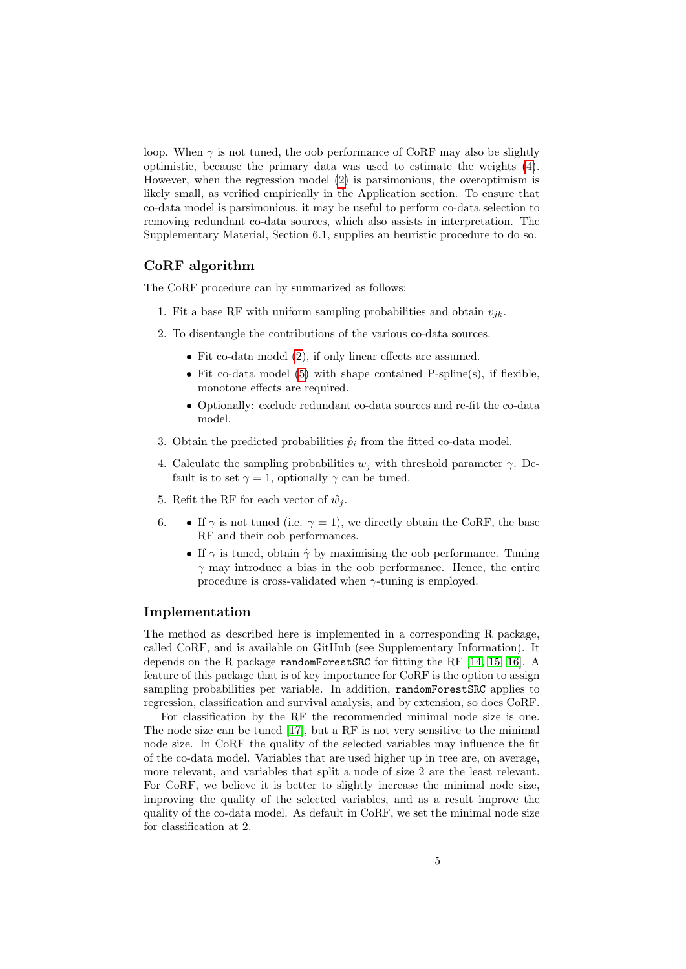loop. When  $\gamma$  is not tuned, the oob performance of CoRF may also be slightly optimistic, because the primary data was used to estimate the weights [\(4\)](#page-3-0). However, when the regression model [\(2\)](#page-2-0) is parsimonious, the overoptimism is likely small, as verified empirically in the Application section. To ensure that co-data model is parsimonious, it may be useful to perform co-data selection to removing redundant co-data sources, which also assists in interpretation. The Supplementary Material, Section 6.1, supplies an heuristic procedure to do so.

#### CoRF algorithm

The CoRF procedure can by summarized as follows:

- 1. Fit a base RF with uniform sampling probabilities and obtain  $v_{ik}$ .
- 2. To disentangle the contributions of the various co-data sources.
	- Fit co-data model [\(2\)](#page-2-0), if only linear effects are assumed.
	- Fit co-data model  $(5)$  with shape contained P-spline(s), if flexible, monotone effects are required.
	- Optionally: exclude redundant co-data sources and re-fit the co-data model.
- 3. Obtain the predicted probabilities  $\hat{p}_i$  from the fitted co-data model.
- 4. Calculate the sampling probabilities  $w_i$  with threshold parameter  $\gamma$ . Default is to set  $\gamma = 1$ , optionally  $\gamma$  can be tuned.
- 5. Refit the RF for each vector of  $\tilde{w}_i$ .
- 6. If  $\gamma$  is not tuned (i.e.  $\gamma = 1$ ), we directly obtain the CoRF, the base RF and their oob performances.
	- If  $\gamma$  is tuned, obtain  $\hat{\gamma}$  by maximising the oob performance. Tuning  $\gamma$  may introduce a bias in the oob performance. Hence, the entire procedure is cross-validated when  $\gamma$ -tuning is employed.

#### Implementation

The method as described here is implemented in a corresponding R package, called CoRF, and is available on GitHub (see Supplementary Information). It depends on the R package randomForestSRC for fitting the RF [\[14,](#page-10-13) [15,](#page-10-14) [16\]](#page-10-15). A feature of this package that is of key importance for CoRF is the option to assign sampling probabilities per variable. In addition, randomForestSRC applies to regression, classification and survival analysis, and by extension, so does CoRF.

For classification by the RF the recommended minimal node size is one. The node size can be tuned [\[17\]](#page-11-0), but a RF is not very sensitive to the minimal node size. In CoRF the quality of the selected variables may influence the fit of the co-data model. Variables that are used higher up in tree are, on average, more relevant, and variables that split a node of size 2 are the least relevant. For CoRF, we believe it is better to slightly increase the minimal node size, improving the quality of the selected variables, and as a result improve the quality of the co-data model. As default in CoRF, we set the minimal node size for classification at 2.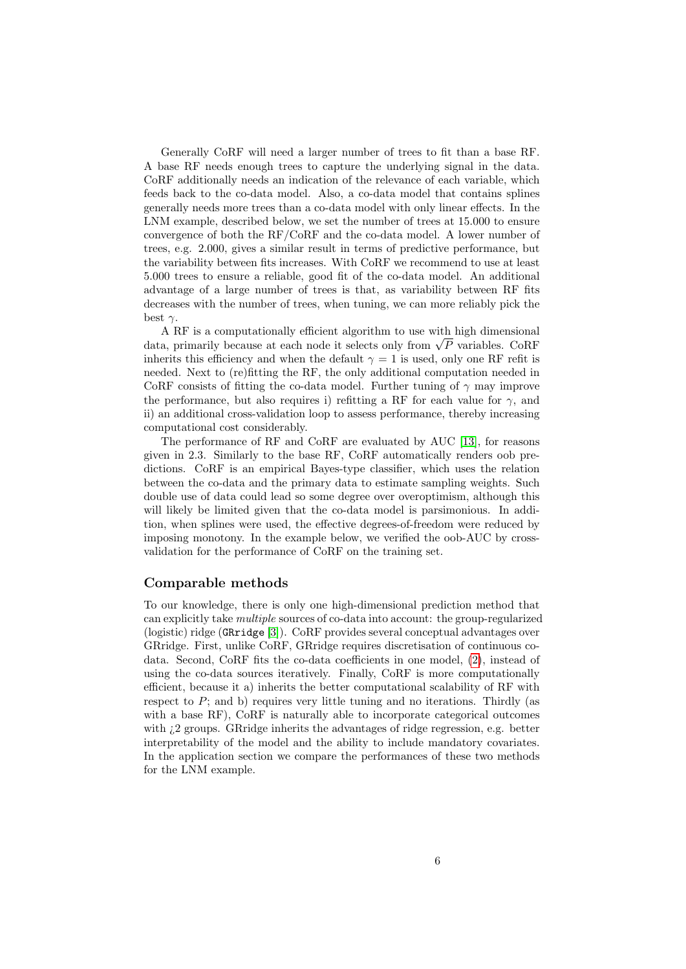Generally CoRF will need a larger number of trees to fit than a base RF. A base RF needs enough trees to capture the underlying signal in the data. CoRF additionally needs an indication of the relevance of each variable, which feeds back to the co-data model. Also, a co-data model that contains splines generally needs more trees than a co-data model with only linear effects. In the LNM example, described below, we set the number of trees at 15.000 to ensure convergence of both the RF/CoRF and the co-data model. A lower number of trees, e.g. 2.000, gives a similar result in terms of predictive performance, but the variability between fits increases. With CoRF we recommend to use at least 5.000 trees to ensure a reliable, good fit of the co-data model. An additional advantage of a large number of trees is that, as variability between RF fits decreases with the number of trees, when tuning, we can more reliably pick the best  $\gamma$ .

A RF is a computationally efficient algorithm to use with high dimensional A KF is a computationally efficient algorithm to use with high dimensional data, primarily because at each node it selects only from  $\sqrt{P}$  variables. CoRF inherits this efficiency and when the default  $\gamma = 1$  is used, only one RF refit is needed. Next to (re)fitting the RF, the only additional computation needed in CoRF consists of fitting the co-data model. Further tuning of  $\gamma$  may improve the performance, but also requires i) refitting a RF for each value for  $\gamma$ , and ii) an additional cross-validation loop to assess performance, thereby increasing computational cost considerably.

The performance of RF and CoRF are evaluated by AUC [\[13\]](#page-10-12), for reasons given in 2.3. Similarly to the base RF, CoRF automatically renders oob predictions. CoRF is an empirical Bayes-type classifier, which uses the relation between the co-data and the primary data to estimate sampling weights. Such double use of data could lead so some degree over overoptimism, although this will likely be limited given that the co-data model is parsimonious. In addition, when splines were used, the effective degrees-of-freedom were reduced by imposing monotony. In the example below, we verified the oob-AUC by crossvalidation for the performance of CoRF on the training set.

#### Comparable methods

To our knowledge, there is only one high-dimensional prediction method that can explicitly take multiple sources of co-data into account: the group-regularized (logistic) ridge (GRridge [\[3\]](#page-10-2)). CoRF provides several conceptual advantages over GRridge. First, unlike CoRF, GRridge requires discretisation of continuous codata. Second, CoRF fits the co-data coefficients in one model, [\(2\)](#page-2-0), instead of using the co-data sources iteratively. Finally, CoRF is more computationally efficient, because it a) inherits the better computational scalability of RF with respect to  $P$ ; and b) requires very little tuning and no iterations. Thirdly (as with a base RF), CoRF is naturally able to incorporate categorical outcomes with  $2 \text{ groups.}$  GR ridge inherits the advantages of ridge regression, e.g. better interpretability of the model and the ability to include mandatory covariates. In the application section we compare the performances of these two methods for the LNM example.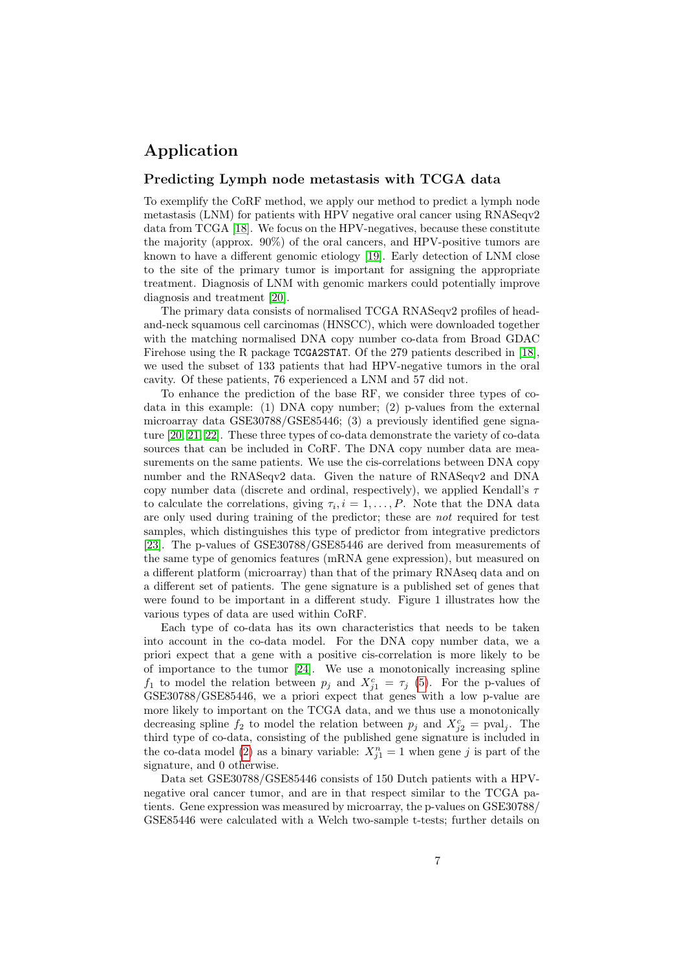## Application

#### Predicting Lymph node metastasis with TCGA data

To exemplify the CoRF method, we apply our method to predict a lymph node metastasis (LNM) for patients with HPV negative oral cancer using RNASeqv2 data from TCGA [\[18\]](#page-11-1). We focus on the HPV-negatives, because these constitute the majority (approx. 90%) of the oral cancers, and HPV-positive tumors are known to have a different genomic etiology [\[19\]](#page-11-2). Early detection of LNM close to the site of the primary tumor is important for assigning the appropriate treatment. Diagnosis of LNM with genomic markers could potentially improve diagnosis and treatment [\[20\]](#page-11-3).

The primary data consists of normalised TCGA RNASeqv2 profiles of headand-neck squamous cell carcinomas (HNSCC), which were downloaded together with the matching normalised DNA copy number co-data from Broad GDAC Firehose using the R package TCGA2STAT. Of the 279 patients described in [\[18\]](#page-11-1), we used the subset of 133 patients that had HPV-negative tumors in the oral cavity. Of these patients, 76 experienced a LNM and 57 did not.

To enhance the prediction of the base RF, we consider three types of codata in this example: (1) DNA copy number; (2) p-values from the external microarray data GSE30788/GSE85446; (3) a previously identified gene signature [\[20,](#page-11-3) [21,](#page-11-4) [22\]](#page-11-5). These three types of co-data demonstrate the variety of co-data sources that can be included in CoRF. The DNA copy number data are measurements on the same patients. We use the cis-correlations between DNA copy number and the RNASeqv2 data. Given the nature of RNASeqv2 and DNA copy number data (discrete and ordinal, respectively), we applied Kendall's τ to calculate the correlations, giving  $\tau_i, i = 1, \ldots, P$ . Note that the DNA data are only used during training of the predictor; these are not required for test samples, which distinguishes this type of predictor from integrative predictors [\[23\]](#page-11-6). The p-values of GSE30788/GSE85446 are derived from measurements of the same type of genomics features (mRNA gene expression), but measured on a different platform (microarray) than that of the primary RNAseq data and on a different set of patients. The gene signature is a published set of genes that were found to be important in a different study. Figure 1 illustrates how the various types of data are used within CoRF.

Each type of co-data has its own characteristics that needs to be taken into account in the co-data model. For the DNA copy number data, we a priori expect that a gene with a positive cis-correlation is more likely to be of importance to the tumor [\[24\]](#page-11-7). We use a monotonically increasing spline  $f_1$  to model the relation between  $p_j$  and  $X_{j1}^c = \tau_j$  [\(5\)](#page-3-1). For the p-values of GSE30788/GSE85446, we a priori expect that genes with a low p-value are more likely to important on the TCGA data, and we thus use a monotonically decreasing spline  $f_2$  to model the relation between  $p_j$  and  $X_{j2}^c = \text{pval}_j$ . The third type of co-data, consisting of the published gene signature is included in the co-data model [\(2\)](#page-2-0) as a binary variable:  $X_{j1}^n = 1$  when gene j is part of the signature, and 0 otherwise.

Data set GSE30788/GSE85446 consists of 150 Dutch patients with a HPVnegative oral cancer tumor, and are in that respect similar to the TCGA patients. Gene expression was measured by microarray, the p-values on GSE30788/ GSE85446 were calculated with a Welch two-sample t-tests; further details on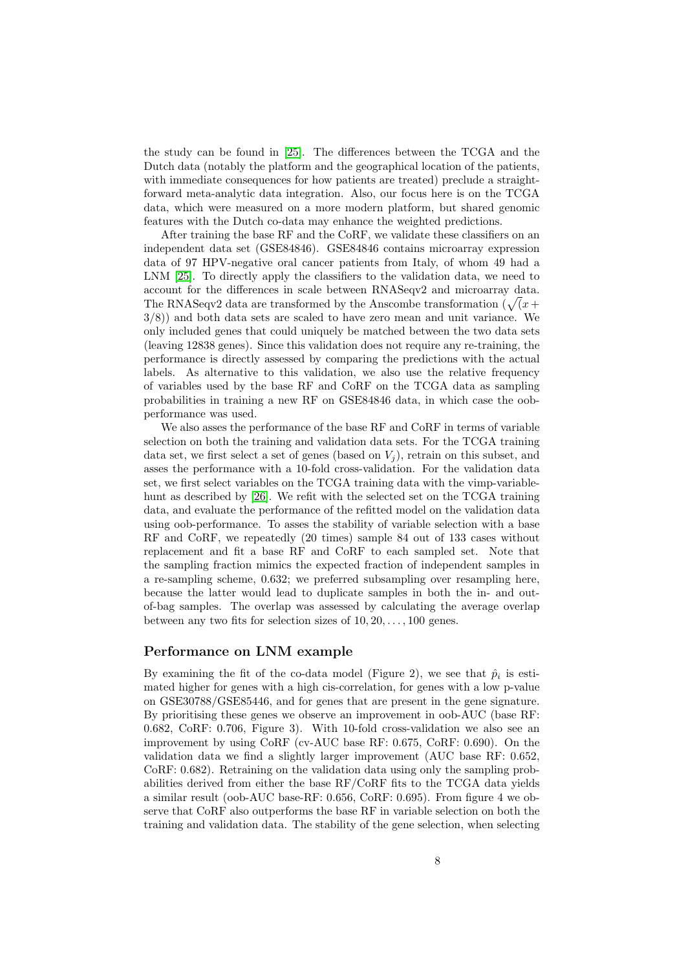the study can be found in [\[25\]](#page-11-8). The differences between the TCGA and the Dutch data (notably the platform and the geographical location of the patients, with immediate consequences for how patients are treated) preclude a straightforward meta-analytic data integration. Also, our focus here is on the TCGA data, which were measured on a more modern platform, but shared genomic features with the Dutch co-data may enhance the weighted predictions.

After training the base RF and the CoRF, we validate these classifiers on an independent data set (GSE84846). GSE84846 contains microarray expression data of 97 HPV-negative oral cancer patients from Italy, of whom 49 had a LNM [\[25\]](#page-11-8). To directly apply the classifiers to the validation data, we need to account for the differences in scale between RNASeqv2 and microarray data. The RNASeqv2 data are transformed by the Anscombe transformation ( $\sqrt{x}$  + 3/8)) and both data sets are scaled to have zero mean and unit variance. We only included genes that could uniquely be matched between the two data sets (leaving 12838 genes). Since this validation does not require any re-training, the performance is directly assessed by comparing the predictions with the actual labels. As alternative to this validation, we also use the relative frequency of variables used by the base RF and CoRF on the TCGA data as sampling probabilities in training a new RF on GSE84846 data, in which case the oobperformance was used.

We also asses the performance of the base RF and CoRF in terms of variable selection on both the training and validation data sets. For the TCGA training data set, we first select a set of genes (based on  $V_i$ ), retrain on this subset, and asses the performance with a 10-fold cross-validation. For the validation data set, we first select variables on the TCGA training data with the vimp-variablehunt as described by [\[26\]](#page-11-9). We refit with the selected set on the TCGA training data, and evaluate the performance of the refitted model on the validation data using oob-performance. To asses the stability of variable selection with a base RF and CoRF, we repeatedly (20 times) sample 84 out of 133 cases without replacement and fit a base RF and CoRF to each sampled set. Note that the sampling fraction mimics the expected fraction of independent samples in a re-sampling scheme, 0.632; we preferred subsampling over resampling here, because the latter would lead to duplicate samples in both the in- and outof-bag samples. The overlap was assessed by calculating the average overlap between any two fits for selection sizes of  $10, 20, \ldots, 100$  genes.

#### Performance on LNM example

By examining the fit of the co-data model (Figure 2), we see that  $\hat{p}_i$  is estimated higher for genes with a high cis-correlation, for genes with a low p-value on GSE30788/GSE85446, and for genes that are present in the gene signature. By prioritising these genes we observe an improvement in oob-AUC (base RF: 0.682, CoRF: 0.706, Figure 3). With 10-fold cross-validation we also see an improvement by using CoRF (cv-AUC base RF: 0.675, CoRF: 0.690). On the validation data we find a slightly larger improvement (AUC base RF: 0.652, CoRF: 0.682). Retraining on the validation data using only the sampling probabilities derived from either the base RF/CoRF fits to the TCGA data yields a similar result (oob-AUC base-RF: 0.656, CoRF: 0.695). From figure 4 we observe that CoRF also outperforms the base RF in variable selection on both the training and validation data. The stability of the gene selection, when selecting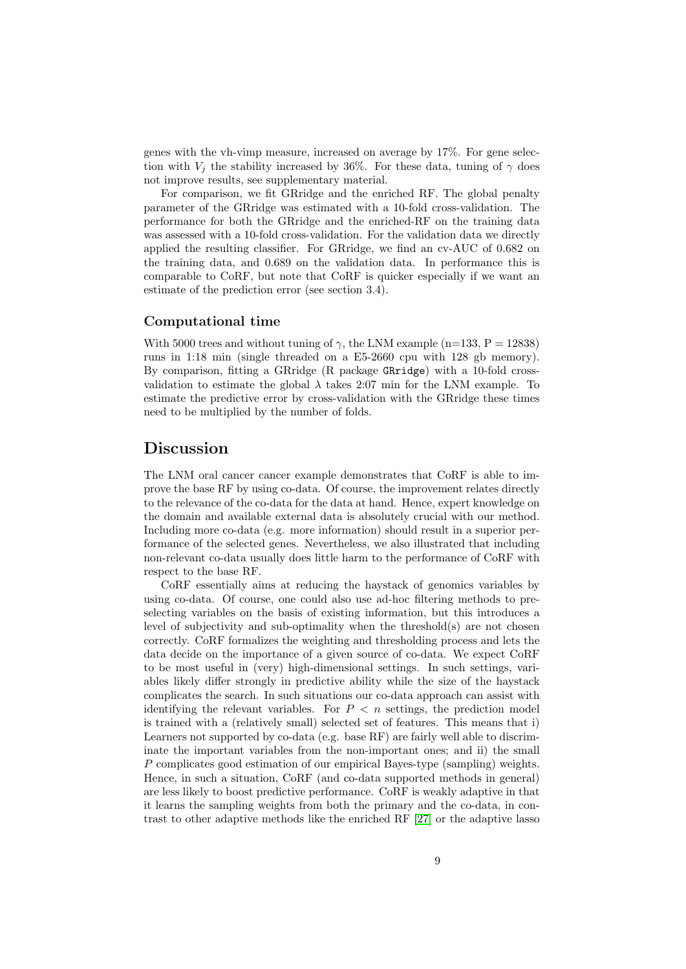genes with the vh-vimp measure, increased on average by 17%. For gene selection with  $V_i$  the stability increased by 36%. For these data, tuning of  $\gamma$  does not improve results, see supplementary material.

For comparison, we fit GRridge and the enriched RF. The global penalty parameter of the GRridge was estimated with a 10-fold cross-validation. The performance for both the GRridge and the enriched-RF on the training data was assessed with a 10-fold cross-validation. For the validation data we directly applied the resulting classifier. For GRridge, we find an cv-AUC of 0.682 on the training data, and 0.689 on the validation data. In performance this is comparable to CoRF, but note that CoRF is quicker especially if we want an estimate of the prediction error (see section 3.4).

#### Computational time

With 5000 trees and without tuning of  $\gamma$ , the LNM example (n=133, P = 12838) runs in 1:18 min (single threaded on a E5-2660 cpu with 128 gb memory). By comparison, fitting a GRridge (R package GRridge) with a 10-fold crossvalidation to estimate the global  $\lambda$  takes 2:07 min for the LNM example. To estimate the predictive error by cross-validation with the GRridge these times need to be multiplied by the number of folds.

### Discussion

The LNM oral cancer cancer example demonstrates that CoRF is able to improve the base RF by using co-data. Of course, the improvement relates directly to the relevance of the co-data for the data at hand. Hence, expert knowledge on the domain and available external data is absolutely crucial with our method. Including more co-data (e.g. more information) should result in a superior performance of the selected genes. Nevertheless, we also illustrated that including non-relevant co-data usually does little harm to the performance of CoRF with respect to the base RF.

CoRF essentially aims at reducing the haystack of genomics variables by using co-data. Of course, one could also use ad-hoc filtering methods to preselecting variables on the basis of existing information, but this introduces a level of subjectivity and sub-optimality when the threshold(s) are not chosen correctly. CoRF formalizes the weighting and thresholding process and lets the data decide on the importance of a given source of co-data. We expect CoRF to be most useful in (very) high-dimensional settings. In such settings, variables likely differ strongly in predictive ability while the size of the haystack complicates the search. In such situations our co-data approach can assist with identifying the relevant variables. For  $P < n$  settings, the prediction model is trained with a (relatively small) selected set of features. This means that i) Learners not supported by co-data (e.g. base RF) are fairly well able to discriminate the important variables from the non-important ones; and ii) the small P complicates good estimation of our empirical Bayes-type (sampling) weights. Hence, in such a situation, CoRF (and co-data supported methods in general) are less likely to boost predictive performance. CoRF is weakly adaptive in that it learns the sampling weights from both the primary and the co-data, in contrast to other adaptive methods like the enriched RF [\[27\]](#page-12-0) or the adaptive lasso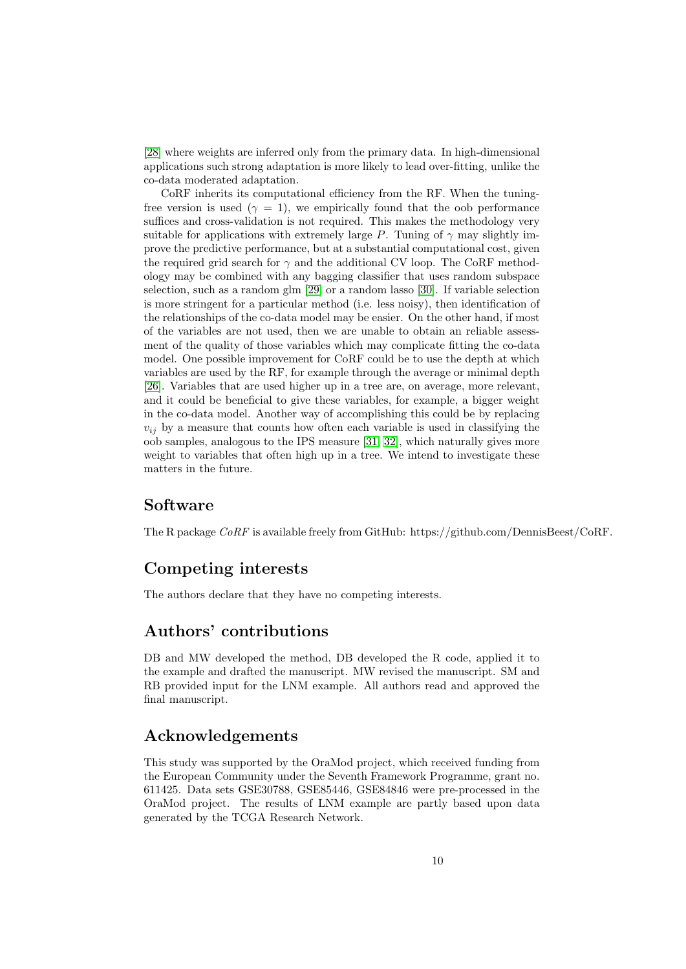[\[28\]](#page-12-1) where weights are inferred only from the primary data. In high-dimensional applications such strong adaptation is more likely to lead over-fitting, unlike the co-data moderated adaptation.

CoRF inherits its computational efficiency from the RF. When the tuningfree version is used ( $\gamma = 1$ ), we empirically found that the oob performance suffices and cross-validation is not required. This makes the methodology very suitable for applications with extremely large P. Tuning of  $\gamma$  may slightly improve the predictive performance, but at a substantial computational cost, given the required grid search for  $\gamma$  and the additional CV loop. The CoRF methodology may be combined with any bagging classifier that uses random subspace selection, such as a random glm [\[29\]](#page-12-2) or a random lasso [\[30\]](#page-12-3). If variable selection is more stringent for a particular method (i.e. less noisy), then identification of the relationships of the co-data model may be easier. On the other hand, if most of the variables are not used, then we are unable to obtain an reliable assessment of the quality of those variables which may complicate fitting the co-data model. One possible improvement for CoRF could be to use the depth at which variables are used by the RF, for example through the average or minimal depth [\[26\]](#page-11-9). Variables that are used higher up in a tree are, on average, more relevant, and it could be beneficial to give these variables, for example, a bigger weight in the co-data model. Another way of accomplishing this could be by replacing  $v_{ij}$  by a measure that counts how often each variable is used in classifying the oob samples, analogous to the IPS measure [\[31,](#page-12-4) [32\]](#page-12-5), which naturally gives more weight to variables that often high up in a tree. We intend to investigate these matters in the future.

## Software

The R package CoRF is available freely from GitHub: https://github.com/DennisBeest/CoRF.

## Competing interests

The authors declare that they have no competing interests.

## Authors' contributions

DB and MW developed the method, DB developed the R code, applied it to the example and drafted the manuscript. MW revised the manuscript. SM and RB provided input for the LNM example. All authors read and approved the final manuscript.

## Acknowledgements

This study was supported by the OraMod project, which received funding from the European Community under the Seventh Framework Programme, grant no. 611425. Data sets GSE30788, GSE85446, GSE84846 were pre-processed in the OraMod project. The results of LNM example are partly based upon data generated by the TCGA Research Network.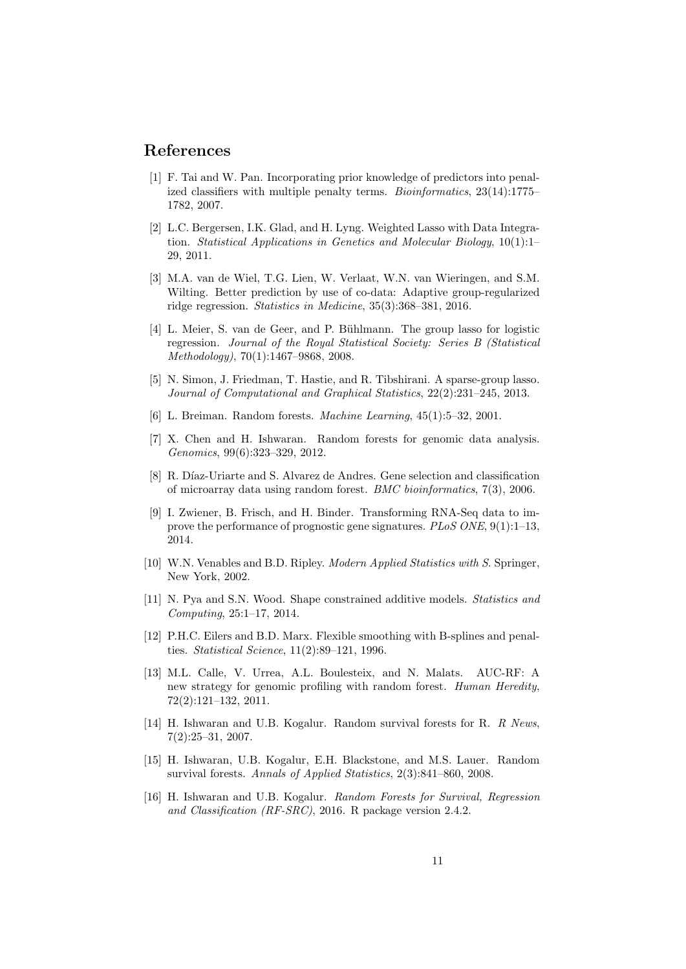### References

- <span id="page-10-0"></span>[1] F. Tai and W. Pan. Incorporating prior knowledge of predictors into penalized classifiers with multiple penalty terms. Bioinformatics, 23(14):1775– 1782, 2007.
- <span id="page-10-1"></span>[2] L.C. Bergersen, I.K. Glad, and H. Lyng. Weighted Lasso with Data Integration. Statistical Applications in Genetics and Molecular Biology, 10(1):1– 29, 2011.
- <span id="page-10-2"></span>[3] M.A. van de Wiel, T.G. Lien, W. Verlaat, W.N. van Wieringen, and S.M. Wilting. Better prediction by use of co-data: Adaptive group-regularized ridge regression. Statistics in Medicine, 35(3):368–381, 2016.
- <span id="page-10-3"></span>[4] L. Meier, S. van de Geer, and P. Bühlmann. The group lasso for logistic regression. Journal of the Royal Statistical Society: Series B (Statistical Methodology), 70(1):1467–9868, 2008.
- <span id="page-10-4"></span>[5] N. Simon, J. Friedman, T. Hastie, and R. Tibshirani. A sparse-group lasso. Journal of Computational and Graphical Statistics, 22(2):231–245, 2013.
- <span id="page-10-5"></span>[6] L. Breiman. Random forests. Machine Learning, 45(1):5–32, 2001.
- <span id="page-10-6"></span>[7] X. Chen and H. Ishwaran. Random forests for genomic data analysis. Genomics, 99(6):323–329, 2012.
- <span id="page-10-7"></span>[8] R. Díaz-Uriarte and S. Alvarez de Andres. Gene selection and classification of microarray data using random forest. BMC bioinformatics, 7(3), 2006.
- <span id="page-10-8"></span>[9] I. Zwiener, B. Frisch, and H. Binder. Transforming RNA-Seq data to improve the performance of prognostic gene signatures.  $PLoS$   $ONE$ ,  $9(1):1-13$ . 2014.
- <span id="page-10-9"></span>[10] W.N. Venables and B.D. Ripley. Modern Applied Statistics with S. Springer, New York, 2002.
- <span id="page-10-10"></span>[11] N. Pya and S.N. Wood. Shape constrained additive models. Statistics and Computing, 25:1–17, 2014.
- <span id="page-10-11"></span>[12] P.H.C. Eilers and B.D. Marx. Flexible smoothing with B-splines and penalties. Statistical Science, 11(2):89–121, 1996.
- <span id="page-10-12"></span>[13] M.L. Calle, V. Urrea, A.L. Boulesteix, and N. Malats. AUC-RF: A new strategy for genomic profiling with random forest. Human Heredity, 72(2):121–132, 2011.
- <span id="page-10-13"></span>[14] H. Ishwaran and U.B. Kogalur. Random survival forests for R. R News, 7(2):25–31, 2007.
- <span id="page-10-14"></span>[15] H. Ishwaran, U.B. Kogalur, E.H. Blackstone, and M.S. Lauer. Random survival forests. Annals of Applied Statistics, 2(3):841–860, 2008.
- <span id="page-10-15"></span>[16] H. Ishwaran and U.B. Kogalur. Random Forests for Survival, Regression and Classification (RF-SRC), 2016. R package version 2.4.2.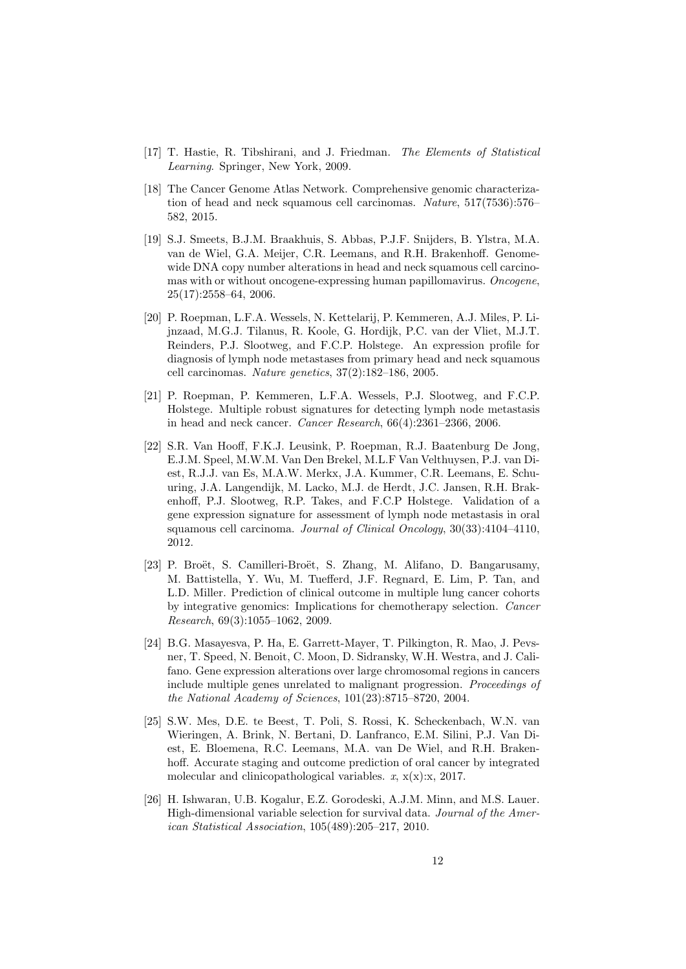- <span id="page-11-0"></span>[17] T. Hastie, R. Tibshirani, and J. Friedman. The Elements of Statistical Learning. Springer, New York, 2009.
- <span id="page-11-1"></span>[18] The Cancer Genome Atlas Network. Comprehensive genomic characterization of head and neck squamous cell carcinomas. Nature, 517(7536):576– 582, 2015.
- <span id="page-11-2"></span>[19] S.J. Smeets, B.J.M. Braakhuis, S. Abbas, P.J.F. Snijders, B. Ylstra, M.A. van de Wiel, G.A. Meijer, C.R. Leemans, and R.H. Brakenhoff. Genomewide DNA copy number alterations in head and neck squamous cell carcinomas with or without oncogene-expressing human papillomavirus. Oncogene, 25(17):2558–64, 2006.
- <span id="page-11-3"></span>[20] P. Roepman, L.F.A. Wessels, N. Kettelarij, P. Kemmeren, A.J. Miles, P. Lijnzaad, M.G.J. Tilanus, R. Koole, G. Hordijk, P.C. van der Vliet, M.J.T. Reinders, P.J. Slootweg, and F.C.P. Holstege. An expression profile for diagnosis of lymph node metastases from primary head and neck squamous cell carcinomas. Nature genetics, 37(2):182–186, 2005.
- <span id="page-11-4"></span>[21] P. Roepman, P. Kemmeren, L.F.A. Wessels, P.J. Slootweg, and F.C.P. Holstege. Multiple robust signatures for detecting lymph node metastasis in head and neck cancer. Cancer Research, 66(4):2361–2366, 2006.
- <span id="page-11-5"></span>[22] S.R. Van Hooff, F.K.J. Leusink, P. Roepman, R.J. Baatenburg De Jong, E.J.M. Speel, M.W.M. Van Den Brekel, M.L.F Van Velthuysen, P.J. van Diest, R.J.J. van Es, M.A.W. Merkx, J.A. Kummer, C.R. Leemans, E. Schuuring, J.A. Langendijk, M. Lacko, M.J. de Herdt, J.C. Jansen, R.H. Brakenhoff, P.J. Slootweg, R.P. Takes, and F.C.P Holstege. Validation of a gene expression signature for assessment of lymph node metastasis in oral squamous cell carcinoma. Journal of Clinical Oncology, 30(33):4104–4110, 2012.
- <span id="page-11-6"></span>[23] P. Broët, S. Camilleri-Broët, S. Zhang, M. Alifano, D. Bangarusamy, M. Battistella, Y. Wu, M. Tuefferd, J.F. Regnard, E. Lim, P. Tan, and L.D. Miller. Prediction of clinical outcome in multiple lung cancer cohorts by integrative genomics: Implications for chemotherapy selection. Cancer Research, 69(3):1055–1062, 2009.
- <span id="page-11-7"></span>[24] B.G. Masayesva, P. Ha, E. Garrett-Mayer, T. Pilkington, R. Mao, J. Pevsner, T. Speed, N. Benoit, C. Moon, D. Sidransky, W.H. Westra, and J. Califano. Gene expression alterations over large chromosomal regions in cancers include multiple genes unrelated to malignant progression. Proceedings of the National Academy of Sciences, 101(23):8715–8720, 2004.
- <span id="page-11-8"></span>[25] S.W. Mes, D.E. te Beest, T. Poli, S. Rossi, K. Scheckenbach, W.N. van Wieringen, A. Brink, N. Bertani, D. Lanfranco, E.M. Silini, P.J. Van Diest, E. Bloemena, R.C. Leemans, M.A. van De Wiel, and R.H. Brakenhoff. Accurate staging and outcome prediction of oral cancer by integrated molecular and clinicopathological variables.  $x$ ,  $x(x):x$ , 2017.
- <span id="page-11-9"></span>[26] H. Ishwaran, U.B. Kogalur, E.Z. Gorodeski, A.J.M. Minn, and M.S. Lauer. High-dimensional variable selection for survival data. Journal of the American Statistical Association, 105(489):205–217, 2010.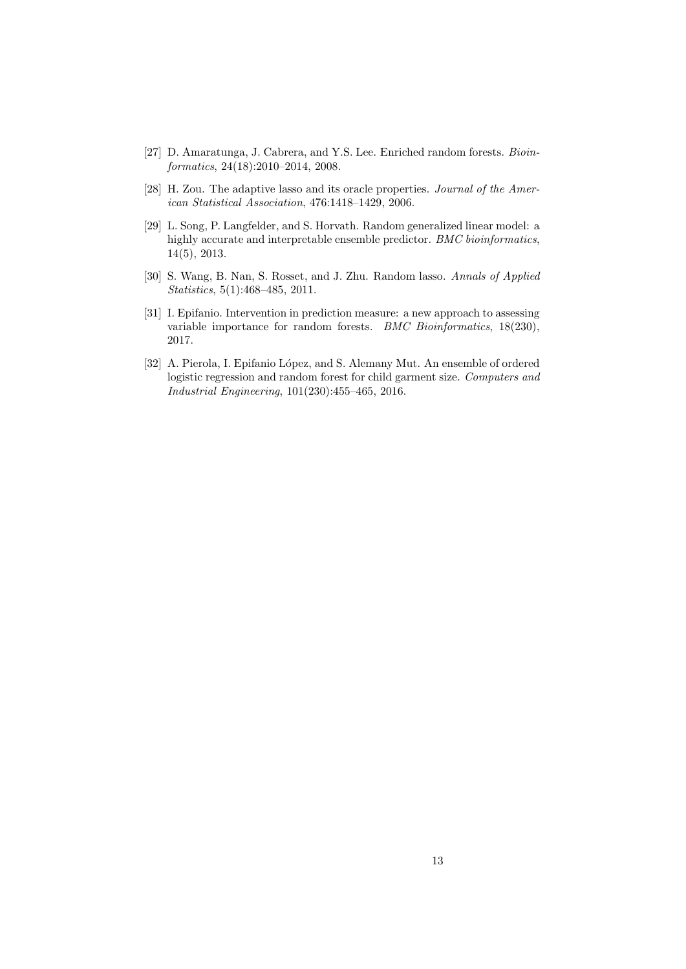- <span id="page-12-0"></span>[27] D. Amaratunga, J. Cabrera, and Y.S. Lee. Enriched random forests. Bioinformatics, 24(18):2010–2014, 2008.
- <span id="page-12-1"></span>[28] H. Zou. The adaptive lasso and its oracle properties. Journal of the American Statistical Association, 476:1418–1429, 2006.
- <span id="page-12-2"></span>[29] L. Song, P. Langfelder, and S. Horvath. Random generalized linear model: a highly accurate and interpretable ensemble predictor. BMC bioinformatics, 14(5), 2013.
- <span id="page-12-3"></span>[30] S. Wang, B. Nan, S. Rosset, and J. Zhu. Random lasso. Annals of Applied Statistics, 5(1):468–485, 2011.
- <span id="page-12-4"></span>[31] I. Epifanio. Intervention in prediction measure: a new approach to assessing variable importance for random forests. *BMC Bioinformatics*, 18(230), 2017.
- <span id="page-12-5"></span>[32] A. Pierola, I. Epifanio López, and S. Alemany Mut. An ensemble of ordered logistic regression and random forest for child garment size. Computers and Industrial Engineering, 101(230):455–465, 2016.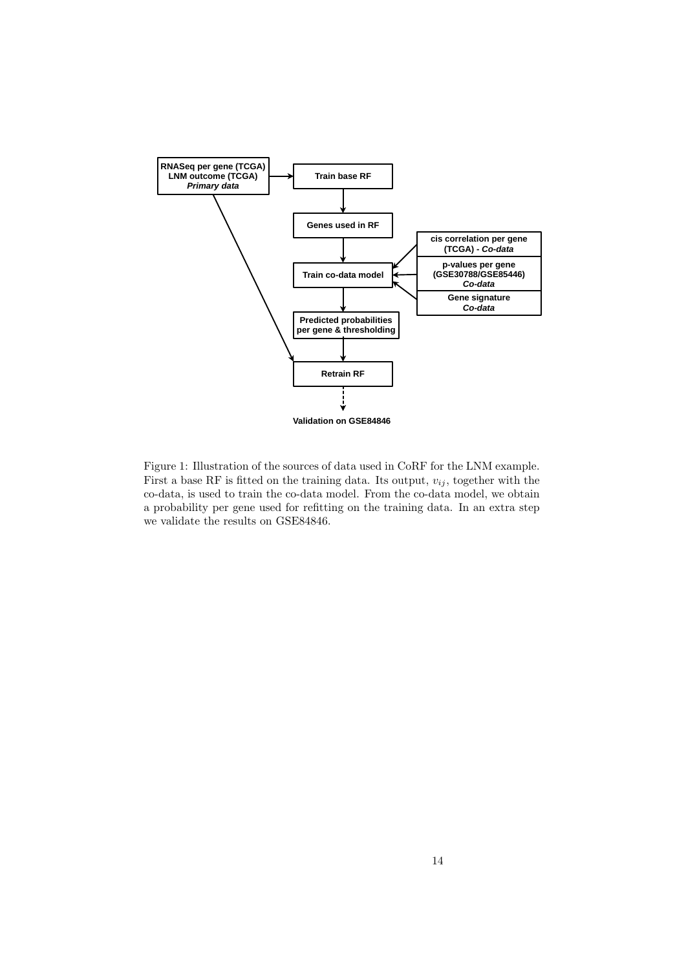

Figure 1: Illustration of the sources of data used in CoRF for the LNM example. First a base RF is fitted on the training data. Its output,  $v_{ij}$ , together with the co-data, is used to train the co-data model. From the co-data model, we obtain a probability per gene used for refitting on the training data. In an extra step we validate the results on GSE84846.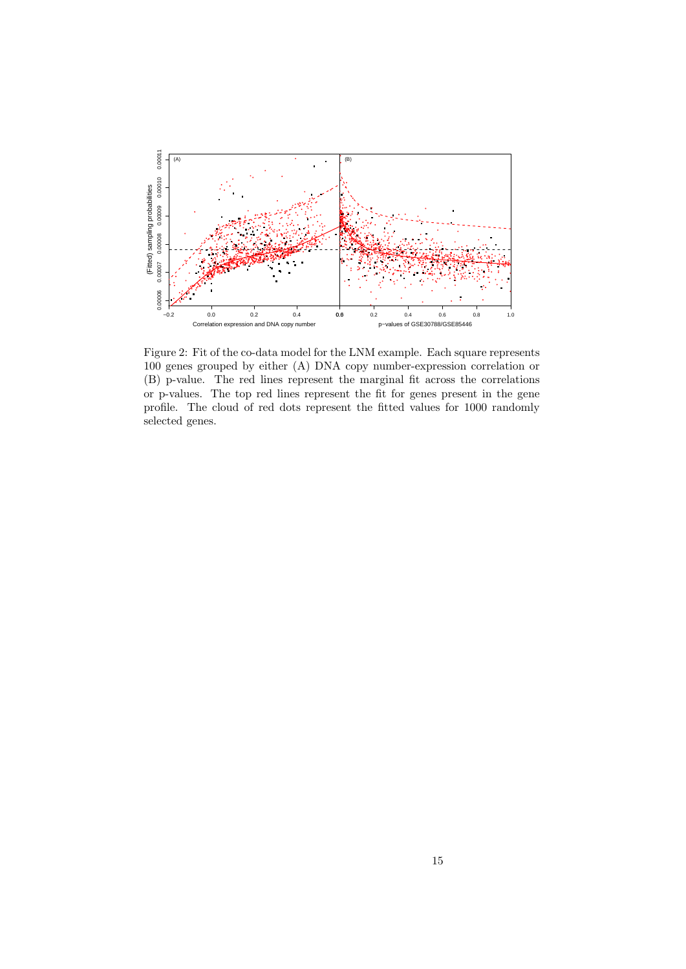

Figure 2: Fit of the co-data model for the LNM example. Each square represents 100 genes grouped by either (A) DNA copy number-expression correlation or (B) p-value. The red lines represent the marginal fit across the correlations or p-values. The top red lines represent the fit for genes present in the gene profile. The cloud of red dots represent the fitted values for 1000 randomly selected genes.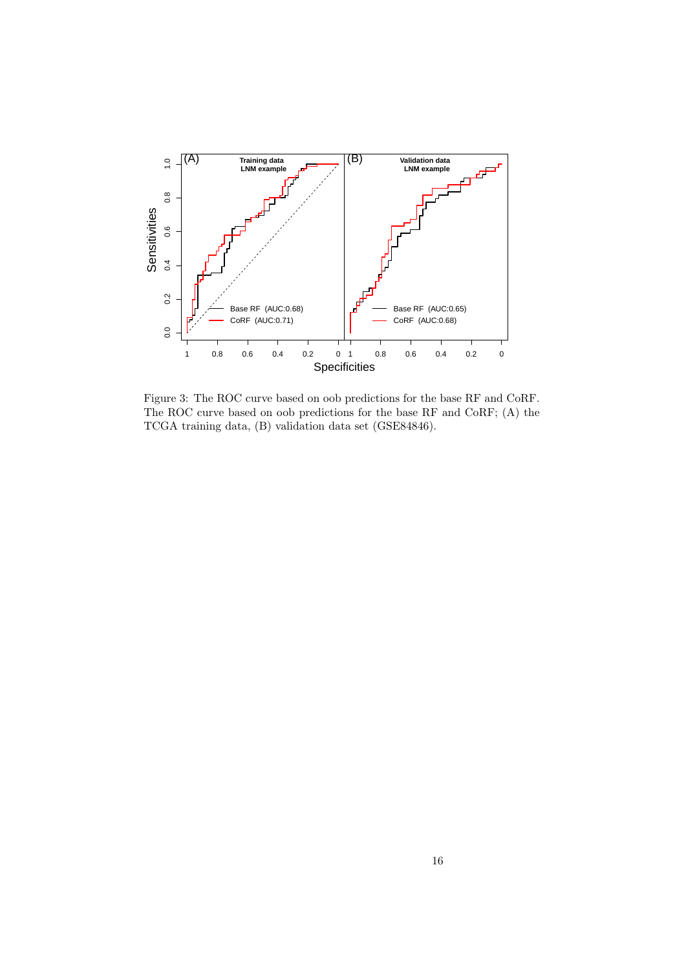

Figure 3: The ROC curve based on oob predictions for the base RF and CoRF. The ROC curve based on oob predictions for the base RF and CoRF; (A) the TCGA training data, (B) validation data set (GSE84846).